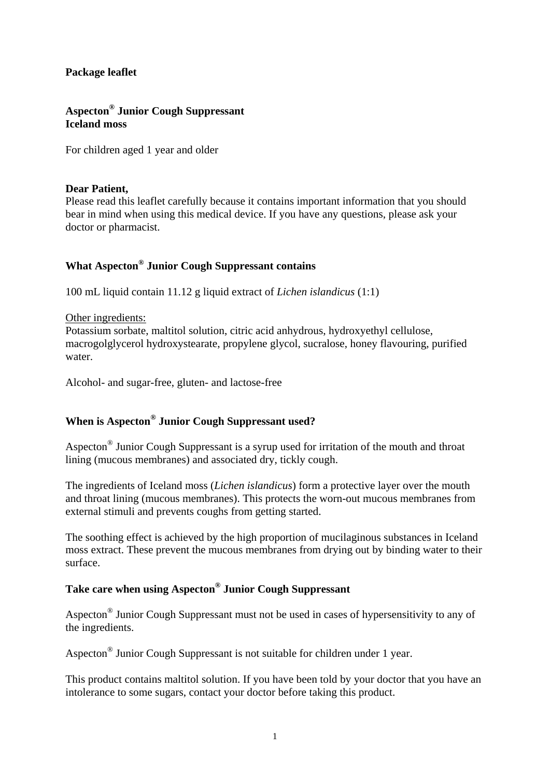#### **Package leaflet**

## **Aspecton® Junior Cough Suppressant Iceland moss**

For children aged 1 year and older

#### **Dear Patient,**

Please read this leaflet carefully because it contains important information that you should bear in mind when using this medical device. If you have any questions, please ask your doctor or pharmacist.

## **What Aspecton® Junior Cough Suppressant contains**

100 mL liquid contain 11.12 g liquid extract of *Lichen islandicus* (1:1)

#### Other ingredients:

Potassium sorbate, maltitol solution, citric acid anhydrous, hydroxyethyl cellulose, macrogolglycerol hydroxystearate, propylene glycol, sucralose, honey flavouring, purified water.

Alcohol- and sugar-free, gluten- and lactose-free

# **When is Aspecton® Junior Cough Suppressant used?**

Aspecton® Junior Cough Suppressant is a syrup used for irritation of the mouth and throat lining (mucous membranes) and associated dry, tickly cough.

The ingredients of Iceland moss (*Lichen islandicus*) form a protective layer over the mouth and throat lining (mucous membranes). This protects the worn-out mucous membranes from external stimuli and prevents coughs from getting started.

The soothing effect is achieved by the high proportion of mucilaginous substances in Iceland moss extract. These prevent the mucous membranes from drying out by binding water to their surface.

## **Take care when using Aspecton® Junior Cough Suppressant**

Aspecton® Junior Cough Suppressant must not be used in cases of hypersensitivity to any of the ingredients.

Aspecton® Junior Cough Suppressant is not suitable for children under 1 year.

This product contains maltitol solution. If you have been told by your doctor that you have an intolerance to some sugars, contact your doctor before taking this product.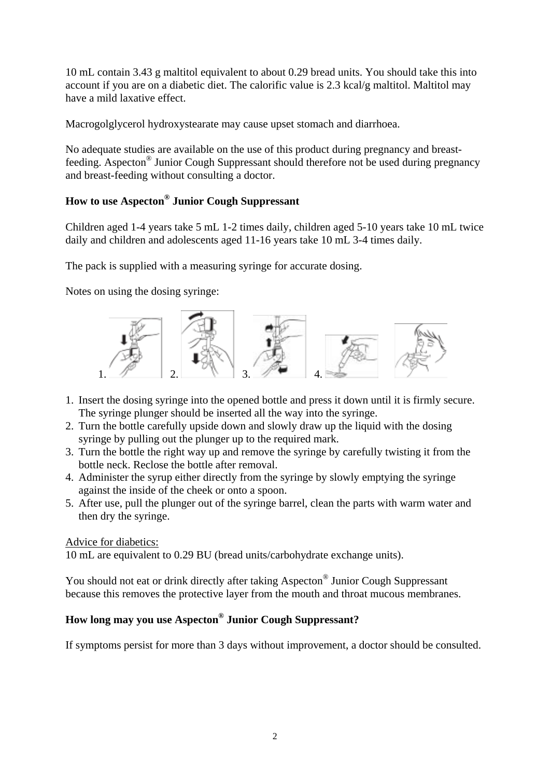10 mL contain 3.43 g maltitol equivalent to about 0.29 bread units. You should take this into account if you are on a diabetic diet. The calorific value is 2.3 kcal/g maltitol. Maltitol may have a mild laxative effect.

Macrogolglycerol hydroxystearate may cause upset stomach and diarrhoea.

No adequate studies are available on the use of this product during pregnancy and breastfeeding. Aspecton® Junior Cough Suppressant should therefore not be used during pregnancy and breast-feeding without consulting a doctor.

# **How to use Aspecton® Junior Cough Suppressant**

Children aged 1-4 years take 5 mL 1-2 times daily, children aged 5-10 years take 10 mL twice daily and children and adolescents aged 11-16 years take 10 mL 3-4 times daily.

The pack is supplied with a measuring syringe for accurate dosing.

Notes on using the dosing syringe:



- 1. Insert the dosing syringe into the opened bottle and press it down until it is firmly secure. The syringe plunger should be inserted all the way into the syringe.
- 2. Turn the bottle carefully upside down and slowly draw up the liquid with the dosing syringe by pulling out the plunger up to the required mark.
- 3. Turn the bottle the right way up and remove the syringe by carefully twisting it from the bottle neck. Reclose the bottle after removal.
- 4. Administer the syrup either directly from the syringe by slowly emptying the syringe against the inside of the cheek or onto a spoon.
- 5. After use, pull the plunger out of the syringe barrel, clean the parts with warm water and then dry the syringe.

#### Advice for diabetics:

10 mL are equivalent to 0.29 BU (bread units/carbohydrate exchange units).

You should not eat or drink directly after taking Aspecton® Junior Cough Suppressant because this removes the protective layer from the mouth and throat mucous membranes.

# **How long may you use Aspecton® Junior Cough Suppressant?**

If symptoms persist for more than 3 days without improvement, a doctor should be consulted.